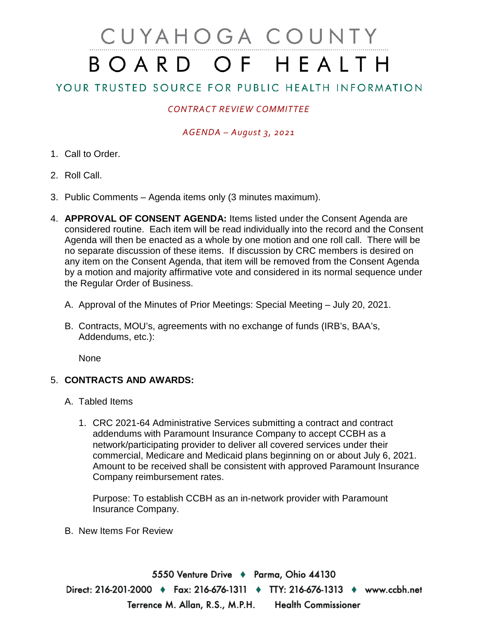# CUYAHOGA COUNTY BOARD OF HEALTH

# YOUR TRUSTED SOURCE FOR PUBLIC HEALTH INFORMATION

## *CONTRACT REVIEW COMMITTEE*

### *AGENDA – August 3, 2021*

- 1. Call to Order.
- 2. Roll Call.
- 3. Public Comments Agenda items only (3 minutes maximum).
- 4. **APPROVAL OF CONSENT AGENDA:** Items listed under the Consent Agenda are considered routine. Each item will be read individually into the record and the Consent Agenda will then be enacted as a whole by one motion and one roll call. There will be no separate discussion of these items. If discussion by CRC members is desired on any item on the Consent Agenda, that item will be removed from the Consent Agenda by a motion and majority affirmative vote and considered in its normal sequence under the Regular Order of Business.
	- A. Approval of the Minutes of Prior Meetings: Special Meeting July 20, 2021.
	- B. Contracts, MOU's, agreements with no exchange of funds (IRB's, BAA's, Addendums, etc.):

None

#### 5. **CONTRACTS AND AWARDS:**

- A. Tabled Items
	- 1. CRC 2021-64 Administrative Services submitting a contract and contract addendums with Paramount Insurance Company to accept CCBH as a network/participating provider to deliver all covered services under their commercial, Medicare and Medicaid plans beginning on or about July 6, 2021. Amount to be received shall be consistent with approved Paramount Insurance Company reimbursement rates.

Purpose: To establish CCBH as an in-network provider with Paramount Insurance Company.

B. New Items For Review

5550 Venture Drive ♦ Parma, Ohio 44130 Direct: 216-201-2000 ♦ Fax: 216-676-1311 ♦ TTY: 216-676-1313 ♦ www.ccbh.net Terrence M. Allan, R.S., M.P.H. **Health Commissioner**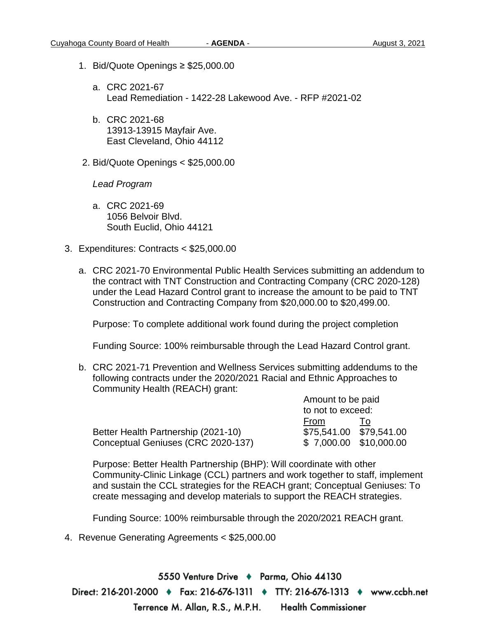- 1. Bid/Quote Openings ≥ \$25,000.00
	- a. CRC 2021-67 Lead Remediation - 1422-28 Lakewood Ave. - RFP #2021-02
	- b. CRC 2021-68 13913-13915 Mayfair Ave. East Cleveland, Ohio 44112
- 2. Bid/Quote Openings < \$25,000.00

*Lead Program* 

- a. CRC 2021-69 1056 Belvoir Blvd. South Euclid, Ohio 44121
- 3. Expenditures: Contracts < \$25,000.00
	- a. CRC 2021-70 Environmental Public Health Services submitting an addendum to the contract with TNT Construction and Contracting Company (CRC 2020-128) under the Lead Hazard Control grant to increase the amount to be paid to TNT Construction and Contracting Company from \$20,000.00 to \$20,499.00.

Purpose: To complete additional work found during the project completion

Funding Source: 100% reimbursable through the Lead Hazard Control grant.

b. CRC 2021-71 Prevention and Wellness Services submitting addendums to the following contracts under the 2020/2021 Racial and Ethnic Approaches to Community Health (REACH) grant:

|                                     | THINGHE IN NO PUID      |  |
|-------------------------------------|-------------------------|--|
|                                     | to not to exceed:       |  |
|                                     | From                    |  |
| Better Health Partnership (2021-10) | \$75,541.00 \$79,541.00 |  |
| Conceptual Geniuses (CRC 2020-137)  | \$ 7,000.00 \$10,000.00 |  |

Amount to be paid

Purpose: Better Health Partnership (BHP): Will coordinate with other Community-Clinic Linkage (CCL) partners and work together to staff, implement and sustain the CCL strategies for the REACH grant; Conceptual Geniuses: To create messaging and develop materials to support the REACH strategies.

Funding Source: 100% reimbursable through the 2020/2021 REACH grant.

4. Revenue Generating Agreements < \$25,000.00

5550 Venture Drive + Parma, Ohio 44130 Direct: 216-201-2000 ♦ Fax: 216-676-1311 ♦ TTY: 216-676-1313 ♦ www.ccbh.net **Health Commissioner** Terrence M. Allan, R.S., M.P.H.